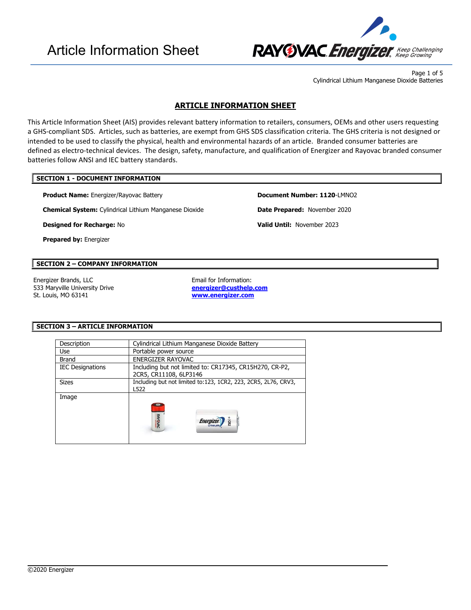

Page 1 of 5 Cylindrical Lithium Manganese Dioxide Batteries

## **ARTICLE INFORMATION SHEET**

This Article Information Sheet (AIS) provides relevant battery information to retailers, consumers, OEMs and other users requesting a GHS-compliant SDS. Articles, such as batteries, are exempt from GHS SDS classification criteria. The GHS criteria is not designed or intended to be used to classify the physical, health and environmental hazards of an article. Branded consumer batteries are defined as electro-technical devices. The design, safety, manufacture, and qualification of Energizer and Rayovac branded consumer batteries follow ANSI and IEC battery standards.

## **SECTION 1 - DOCUMENT INFORMATION**

**Product Name:** Energizer/Rayovac Battery **Document Number: 1120**-LMNO2

**Chemical System:** Cylindrical Lithium Manganese Dioxide **Date Prepared:** November 2020

**Designed for Recharge:** No **Valid Until:** November 2023

**Prepared by:** Energizer

## **SECTION 2 – COMPANY INFORMATION**

Energizer Brands, LLC **Email for Information:** 533 Maryville University Drive St. Louis, MO 63141

**[energizer@custhelp.com](mailto:energizer@custhelp.com) [www.energizer.com](http://www.energizer.com/)**

 $\overline{\phantom{a}}$ 

## **SECTION 3 – ARTICLE INFORMATION**

| Description             | Cylindrical Lithium Manganese Dioxide Battery                                     |  |  |  |
|-------------------------|-----------------------------------------------------------------------------------|--|--|--|
| <b>Use</b>              | Portable power source                                                             |  |  |  |
| Brand                   | ENERGIZER RAYOVAC                                                                 |  |  |  |
| <b>IEC Designations</b> | Including but not limited to: CR17345, CR15H270, CR-P2,<br>2CR5, CR11108, 6LP3146 |  |  |  |
| <b>Sizes</b>            | Including but not limited to:123, 1CR2, 223, 2CR5, 2L76, CRV3,<br>L522            |  |  |  |
| Image                   | <b>RAYOVAC</b><br>$-1$ CR <sub>2</sub><br><i><b>Energize</b></i>                  |  |  |  |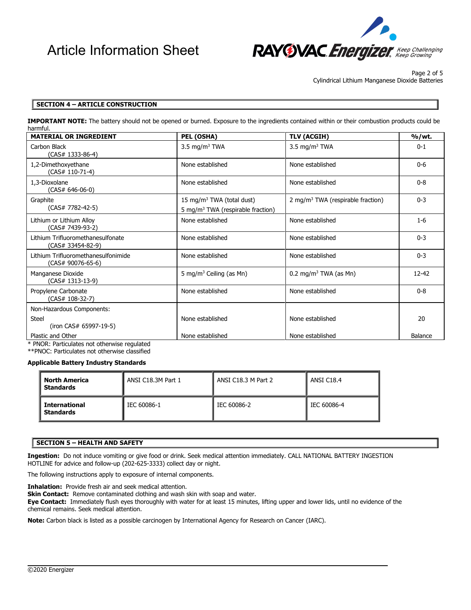

Page 2 of 5 Cylindrical Lithium Manganese Dioxide Batteries

## **SECTION 4 – ARTICLE CONSTRUCTION**

**IMPORTANT NOTE:** The battery should not be opened or burned. Exposure to the ingredients contained within or their combustion products could be harmful.

| <b>MATERIAL OR INGREDIENT</b>                                      | PEL (OSHA)                                                                             | <b>TLV (ACGIH)</b>                            | %/wt.     |
|--------------------------------------------------------------------|----------------------------------------------------------------------------------------|-----------------------------------------------|-----------|
| Carbon Black<br>(CAS# 1333-86-4)                                   | 3.5 mg/m <sup>3</sup> TWA                                                              | 3.5 mg/m <sup>3</sup> TWA                     | $0 - 1$   |
| 1,2-Dimethoxyethane<br>(CAS# 110-71-4)                             | None established                                                                       | None established                              | $0 - 6$   |
| 1.3-Dioxolane<br>(CAS# 646-06-0)                                   | None established                                                                       | None established                              |           |
| Graphite<br>(CAS# 7782-42-5)                                       | 15 mg/m <sup>3</sup> TWA (total dust)<br>5 mg/m <sup>3</sup> TWA (respirable fraction) | 2 mg/m <sup>3</sup> TWA (respirable fraction) | $0 - 3$   |
| Lithium or Lithium Alloy<br>(CAS# 7439-93-2)                       | None established                                                                       | None established                              | $1 - 6$   |
| Lithium Trifluoromethanesulfonate<br>(CAS# 33454-82-9)             | None established                                                                       | None established                              | $0 - 3$   |
| Lithium Trifluoromethanesulfonimide<br>(CAS# 90076-65-6)           | None established                                                                       | None established                              | $0 - 3$   |
| Manganese Dioxide<br>(CAS# 1313-13-9)                              | 5 mg/m <sup>3</sup> Ceiling (as Mn)                                                    | 0.2 mg/m <sup>3</sup> TWA (as Mn)             | $12 - 42$ |
| Propylene Carbonate<br>(CAS# 108-32-7)                             | None established                                                                       | None established                              | $0 - 8$   |
| Non-Hazardous Components:                                          |                                                                                        |                                               |           |
| Steel<br>(iron CAS# 65997-19-5)                                    | None established                                                                       | None established                              | 20        |
| Plastic and Other<br><b>Contract Contract Contract</b><br>$\cdots$ | None established                                                                       | None established                              | Balance   |

\* PNOR: Particulates not otherwise regulated \*\*PNOC: Particulates not otherwise classified

#### **Applicable Battery Industry Standards**

| <b>North America</b><br><b>Standards</b> | ANSI C18.3M Part 1 | ANSI C18.3 M Part 2 | ANSI C18.4  |  |
|------------------------------------------|--------------------|---------------------|-------------|--|
| <b>International</b><br><b>Standards</b> | IEC 60086-1        | IEC 60086-2         | IEC 60086-4 |  |

## **SECTION 5 – HEALTH AND SAFETY**

**Ingestion:** Do not induce vomiting or give food or drink. Seek medical attention immediately. CALL NATIONAL BATTERY INGESTION HOTLINE for advice and follow-up (202-625-3333) collect day or night.

The following instructions apply to exposure of internal components.

**Inhalation:** Provide fresh air and seek medical attention.

**Skin Contact:** Remove contaminated clothing and wash skin with soap and water.

**Eye Contact:** Immediately flush eyes thoroughly with water for at least 15 minutes, lifting upper and lower lids, until no evidence of the chemical remains. Seek medical attention.

 $\overline{\phantom{a}}$ 

**Note:** Carbon black is listed as a possible carcinogen by International Agency for Research on Cancer (IARC).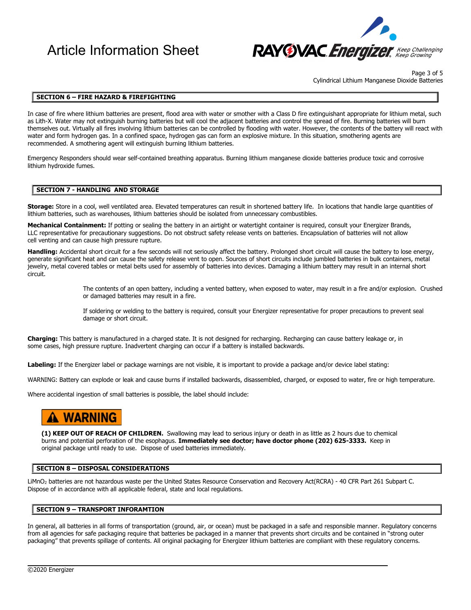# Article Information Sheet



Page 3 of 5 Cylindrical Lithium Manganese Dioxide Batteries

#### **SECTION 6 – FIRE HAZARD & FIREFIGHTING**

In case of fire where lithium batteries are present, flood area with water or smother with a Class D fire extinguishant appropriate for lithium metal, such as Lith-X. Water may not extinguish burning batteries but will cool the adjacent batteries and control the spread of fire. Burning batteries will burn themselves out. Virtually all fires involving lithium batteries can be controlled by flooding with water. However, the contents of the battery will react with water and form hydrogen gas. In a confined space, hydrogen gas can form an explosive mixture. In this situation, smothering agents are recommended. A smothering agent will extinguish burning lithium batteries.

Emergency Responders should wear self-contained breathing apparatus. Burning lithium manganese dioxide batteries produce toxic and corrosive lithium hydroxide fumes.

#### **SECTION 7 - HANDLING AND STORAGE**

**Storage:** Store in a cool, well ventilated area. Elevated temperatures can result in shortened battery life. In locations that handle large quantities of lithium batteries, such as warehouses, lithium batteries should be isolated from unnecessary combustibles.

Mechanical Containment: If potting or sealing the battery in an airtight or watertight container is required, consult your Energizer Brands, LLC representative for precautionary suggestions. Do not obstruct safety release vents on batteries. Encapsulation of batteries will not allow cell venting and can cause high pressure rupture.

**Handling:** Accidental short circuit for a few seconds will not seriously affect the battery. Prolonged short circuit will cause the battery to lose energy, generate significant heat and can cause the safety release vent to open. Sources of short circuits include jumbled batteries in bulk containers, metal jewelry, metal covered tables or metal belts used for assembly of batteries into devices. Damaging a lithium battery may result in an internal short circuit.

> The contents of an open battery, including a vented battery, when exposed to water, may result in a fire and/or explosion. Crushed or damaged batteries may result in a fire.

If soldering or welding to the battery is required, consult your Energizer representative for proper precautions to prevent seal damage or short circuit.

**Charging:** This battery is manufactured in a charged state. It is not designed for recharging. Recharging can cause battery leakage or, in some cases, high pressure rupture. Inadvertent charging can occur if a battery is installed backwards.

**Labeling:** If the Energizer label or package warnings are not visible, it is important to provide a package and/or device label stating:

WARNING: Battery can explode or leak and cause burns if installed backwards, disassembled, charged, or exposed to water, fire or high temperature.

Where accidental ingestion of small batteries is possible, the label should include:

## **A WARNING**

**(1) KEEP OUT OF REACH OF CHILDREN.** Swallowing may lead to serious injury or death in as little as 2 hours due to chemical burns and potential perforation of the esophagus. **Immediately see doctor; have doctor phone (202) 625-3333.** Keep in original package until ready to use. Dispose of used batteries immediately.

#### **SECTION 8 – DISPOSAL CONSIDERATIONS**

LiMnO2 batteries are not hazardous waste per the United States Resource Conservation and Recovery Act(RCRA) - 40 CFR Part 261 Subpart C. Dispose of in accordance with all applicable federal, state and local regulations.

#### **SECTION 9 – TRANSPORT INFORAMTION**

In general, all batteries in all forms of transportation (ground, air, or ocean) must be packaged in a safe and responsible manner. Regulatory concerns from all agencies for safe packaging require that batteries be packaged in a manner that prevents short circuits and be contained in "strong outer packaging" that prevents spillage of contents. All original packaging for Energizer lithium batteries are compliant with these regulatory concerns.

 $\overline{\phantom{a}}$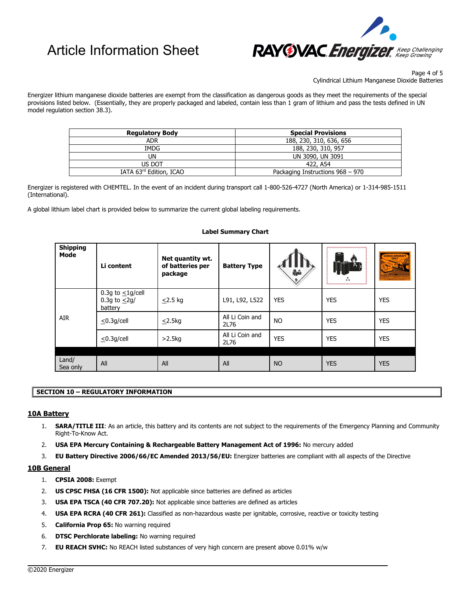# Article Information Sheet



Page 4 of 5 Cylindrical Lithium Manganese Dioxide Batteries

Energizer lithium manganese dioxide batteries are exempt from the classification as dangerous goods as they meet the requirements of the special provisions listed below. (Essentially, they are properly packaged and labeled, contain less than 1 gram of lithium and pass the tests defined in UN model regulation section 38.3).

| <b>Regulatory Body</b>  | <b>Special Provisions</b>        |
|-------------------------|----------------------------------|
| <b>ADR</b>              | 188, 230, 310, 636, 656          |
| IMDG                    | 188, 230, 310, 957               |
| UN                      | UN 3090, UN 3091                 |
| US DOT                  | 422, A54                         |
| IATA 63rd Edition, ICAO | Packaging Instructions 968 - 970 |

Energizer is registered with CHEMTEL. In the event of an incident during transport call 1-800-526-4727 (North America) or 1-314-985-1511 (International).

A global lithium label chart is provided below to summarize the current global labeling requirements.

| <b>Shipping</b><br>Mode | Li content                                              | Net quantity wt.<br>of batteries per<br>package | <b>Battery Type</b>     | 備命         | ,,,,,,,,,,,,,,,,,,,,,,,,,,,,,<br>احتكا<br>**<br><u>baanaannannannad</u> | CARGO AIRCRAFT<br>्टर्स<br><b>REIDDEN IN PASSENGER AIRCRAF</b> |
|-------------------------|---------------------------------------------------------|-------------------------------------------------|-------------------------|------------|-------------------------------------------------------------------------|----------------------------------------------------------------|
| <b>AIR</b>              | 0.3g to $\leq$ 1g/cell<br>0.3g to $\leq$ 2g/<br>battery | $\leq$ 2.5 kg                                   | L91, L92, L522          | <b>YES</b> | <b>YES</b>                                                              | <b>YES</b>                                                     |
|                         | $\leq$ 0.3g/cell                                        | $\leq$ 2.5kg                                    | All Li Coin and<br>2L76 | <b>NO</b>  | <b>YES</b>                                                              | <b>YES</b>                                                     |
|                         | $\leq$ 0.3g/cell                                        | $>2.5$ kg                                       | All Li Coin and<br>2L76 | <b>YES</b> | <b>YES</b>                                                              | <b>YES</b>                                                     |
|                         |                                                         |                                                 |                         |            |                                                                         |                                                                |
| Land/<br>Sea only       | All                                                     | All                                             | All                     | <b>NO</b>  | <b>YES</b>                                                              | <b>YES</b>                                                     |

#### **Label Summary Chart**

## **SECTION 10 – REGULATORY INFORMATION**

#### **10A Battery**

- 1. **SARA/TITLE III**: As an article, this battery and its contents are not subject to the requirements of the Emergency Planning and Community Right-To-Know Act.
- 2. **USA EPA Mercury Containing & Rechargeable Battery Management Act of 1996:** No mercury added

3. **EU Battery Directive 2006/66/EC Amended 2013/56/EU:** Energizer batteries are compliant with all aspects of the Directive

 $\overline{\phantom{a}}$ 

#### **10B General**

- 1. **CPSIA 2008:** Exempt
- 2. **US CPSC FHSA (16 CFR 1500):** Not applicable since batteries are defined as articles
- 3. **USA EPA TSCA (40 CFR 707.20):** Not applicable since batteries are defined as articles
- 4. **USA EPA RCRA (40 CFR 261):** Classified as non-hazardous waste per ignitable, corrosive, reactive or toxicity testing
- 5. **California Prop 65:** No warning required
- 6. **DTSC Perchlorate labeling:** No warning required
- 7. **EU REACH SVHC:** No REACH listed substances of very high concern are present above 0.01% w/w